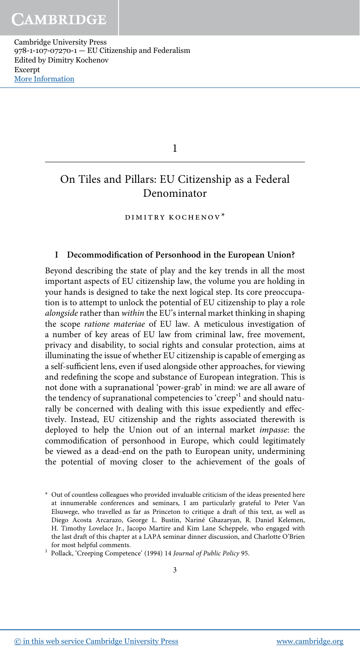1

# On Tiles and Pillars: EU Citizenship as a Federal Denominator

dimitry kochenov\*

# I Decommodification of Personhood in the European Union?

Beyond describing the state of play and the key trends in all the most important aspects of EU citizenship law, the volume you are holding in your hands is designed to take the next logical step. Its core preoccupation is to attempt to unlock the potential of EU citizenship to play a role alongside rather than within the EU's internal market thinking in shaping the scope ratione materiae of EU law. A meticulous investigation of a number of key areas of EU law from criminal law, free movement, privacy and disability, to social rights and consular protection, aims at illuminating the issue of whether EU citizenship is capable of emerging as a self-sufficient lens, even if used alongside other approaches, for viewing and redefining the scope and substance of European integration. This is not done with a supranational 'power-grab' in mind: we are all aware of the tendency of supranational competencies to 'creep'<sup>1</sup> and should naturally be concerned with dealing with this issue expediently and effectively. Instead, EU citizenship and the rights associated therewith is deployed to help the Union out of an internal market impasse: the commodification of personhood in Europe, which could legitimately be viewed as a dead-end on the path to European unity, undermining the potential of moving closer to the achievement of the goals of

<sup>\*</sup> Out of countless colleagues who provided invaluable criticism of the ideas presented here at innumerable conferences and seminars, I am particularly grateful to Peter Van Elsuwege, who travelled as far as Princeton to critique a draft of this text, as well as Diego Acosta Arcarazo, George L. Bustin, Nariné Ghazaryan, R. Daniel Kelemen, H. Timothy Lovelace Jr., Jacopo Martire and Kim Lane Scheppele, who engaged with the last draft of this chapter at a LAPA seminar dinner discussion, and Charlotte O'Brien for most helpful comments.

<sup>&</sup>lt;sup>1</sup> Pollack, 'Creeping Competence' (1994) 14 Journal of Public Policy 95.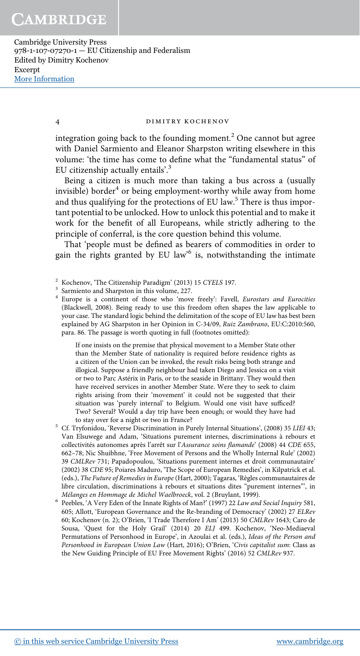4 DIMITRY KOCHENOV

integration going back to the founding moment.<sup>2</sup> One cannot but agree with Daniel Sarmiento and Eleanor Sharpston writing elsewhere in this volume: 'the time has come to define what the "fundamental status" of EU citizenship actually entails'.<sup>3</sup>

Being a citizen is much more than taking a bus across a (usually invisible) border<sup>4</sup> or being employment-worthy while away from home and thus qualifying for the protections of EU law.<sup>5</sup> There is thus important potential to be unlocked. How to unlock this potential and to make it work for the benefit of all Europeans, while strictly adhering to the principle of conferral, is the core question behind this volume.

That 'people must be defined as bearers of commodities in order to gain the rights granted by EU law<sup>16</sup> is, notwithstanding the intimate

If one insists on the premise that physical movement to a Member State other than the Member State of nationality is required before residence rights as a citizen of the Union can be invoked, the result risks being both strange and illogical. Suppose a friendly neighbour had taken Diego and Jessica on a visit or two to Parc Astérix in Paris, or to the seaside in Brittany. They would then have received services in another Member State. Were they to seek to claim rights arising from their 'movement' it could not be suggested that their situation was 'purely internal' to Belgium. Would one visit have sufficed? Two? Several? Would a day trip have been enough; or would they have had to stay over for a night or two in France?

- <sup>5</sup> Cf. Tryfonidou, 'Reverse Discrimination in Purely Internal Situations', (2008) 35 LIEI 43; Van Elsuwege and Adam, 'Situations purement internes, discriminations à rebours et collectivités autonomes après l'arrêt sur l'Assurance soins flamande' (2008) 44 CDE 655, 662–78; Nic Shuibhne, 'Free Movement of Persons and the Wholly Internal Rule' (2002) 39 CMLRev 731; Papadopoulou, 'Situations purement internes et droit communautaire' (2002) 38 CDE 95; Poiares Maduro, 'The Scope of European Remedies', in Kilpatrick et al. (eds.), The Future of Remedies in Europe (Hart, 2000); Tagaras, 'Règles communautaires de libre circulation, discriminations à rebours et situations dites "purement internes"', in Mélanges en Hommage de Michel Waelbroeck, vol. 2 (Bruylant, 1999).
- <sup>6</sup> Peebles, 'A Very Eden of the Innate Rights of Man?' (1997) 22 Law and Social Inquiry 581, 605; Allott, 'European Governance and the Re-branding of Democracy' (2002) 27 ELRev 60; Kochenov (n. 2); O'Brien, 'I Trade Therefore I Am' (2013) 50 CMLRev 1643; Caro de Sousa, 'Quest for the Holy Grail' (2014) 20 ELJ 499. Kochenov, 'Neo-Mediaeval Permutations of Personhood in Europe', in Azoulai et al. (eds.), Ideas of the Person and Personhood in European Union Law (Hart, 2016); O'Brien, 'Civis capitalist sum: Class as the New Guiding Principle of EU Free Movement Rights' (2016) 52 CMLRev 937.

<sup>2</sup> Kochenov, 'The Citizenship Paradigm' (2013) 15 CYELS 197.

<sup>3</sup> Sarmiento and Sharpston in this volume, 227.

<sup>&</sup>lt;sup>4</sup> Europe is a continent of those who 'move freely': Favell, Eurostars and Eurocities (Blackwell, 2008). Being ready to use this freedom often shapes the law applicable to your case. The standard logic behind the delimitation of the scope of EU law has best been explained by AG Sharpston in her Opinion in C-34/09, Ruiz Zambrano, EU:C:2010:560, para. 86. The passage is worth quoting in full (footnotes omitted):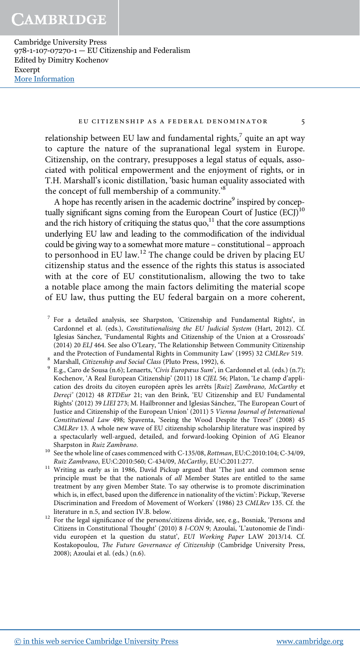#### eu citizenship as a federal denominator 5

relationship between EU law and fundamental rights, $^7$  quite an apt way to capture the nature of the supranational legal system in Europe. Citizenship, on the contrary, presupposes a legal status of equals, associated with political empowerment and the enjoyment of rights, or in T.H. Marshall's iconic distillation, 'basic human equality associated with the concept of full membership of a community.<sup>'8</sup>

A hope has recently arisen in the academic doctrine<sup>9</sup> inspired by conceptually significant signs coming from the European Court of Justice (ECJ)<sup>10</sup> and the rich history of critiquing the status quo, $^{11}$  that the core assumptions underlying EU law and leading to the commodification of the individual could be giving way to a somewhat more mature – constitutional – approach to personhood in EU law.<sup>12</sup> The change could be driven by placing EU citizenship status and the essence of the rights this status is associated with at the core of EU constitutionalism, allowing the two to take a notable place among the main factors delimiting the material scope of EU law, thus putting the EU federal bargain on a more coherent,

- <sup>7</sup> For a detailed analysis, see Sharpston, 'Citizenship and Fundamental Rights', in Cardonnel et al. (eds.), Constitutionalising the EU Judicial System (Hart, 2012). Cf. Iglesias Sánchez, 'Fundamental Rights and Citizenship of the Union at a Crossroads' (2014) 20 ELJ 464. See also O'Leary, 'The Relationship Between Community Citizenship and the Protection of Fundamental Rights in Community Law' (1995) 32 CMLRev 519.
- 8 Marshall, Citizenship and Social Class (Pluto Press, 1992), 6.
- $^{9}$  E.g., Caro de Sousa (n.6); Lenaerts, 'Civis Europæus Sum', in Cardonnel et al. (eds.) (n.7); Kochenov, 'A Real European Citizenship' (2011) 18 CJEL 56; Platon, 'Le champ d'application des droits du citoyen européen après les arrêts [Ruiz] Zambrano, McCarthy et Dereçi' (2012) 48 RTDEur 21; van den Brink, 'EU Citizenship and EU Fundamental Rights' (2012) 39 LIEI 273; M. Hailbronner and Iglesias Sánchez, 'The European Court of Justice and Citizenship of the European Union' (2011) 5 Vienna Journal of International Constitutional Law 498; Spaventa, 'Seeing the Wood Despite the Trees?' (2008) 45 CMLRev 13. A whole new wave of EU citizenship scholarship literature was inspired by a spectacularly well-argued, detailed, and forward-looking Opinion of AG Eleanor Sharpston in Ruiz Zambrano.
- <sup>10</sup> See the whole line of cases commenced with C-135/08, Rottman, EU:C:2010:104; C-34/09, Ruiz Zambrano, EU:C:2010:560; C-434/09, McCarthy, EU:C:2011:277.
- $11$  Writing as early as in 1986, David Pickup argued that 'The just and common sense principle must be that the nationals of all Member States are entitled to the same treatment by any given Member State. To say otherwise is to promote discrimination which is, in effect, based upon the difference in nationality of the victim': Pickup, 'Reverse Discrimination and Freedom of Movement of Workers' (1986) 23 CMLRev 135. Cf. the literature in n.5, and section IV.B. below.
- <sup>12</sup> For the legal significance of the persons/citizens divide, see, e.g., Bosniak, 'Persons and Citizens in Constitutional Thought' (2010) 8 I-CON 9; Azoulai, 'L'autonomie de l'individu européen et la question du statut', EUI Working Paper LAW 2013/14. Cf. Kostakopoulou, The Future Governance of Citizenship (Cambridge University Press, 2008); Azoulai et al. (eds.) (n.6).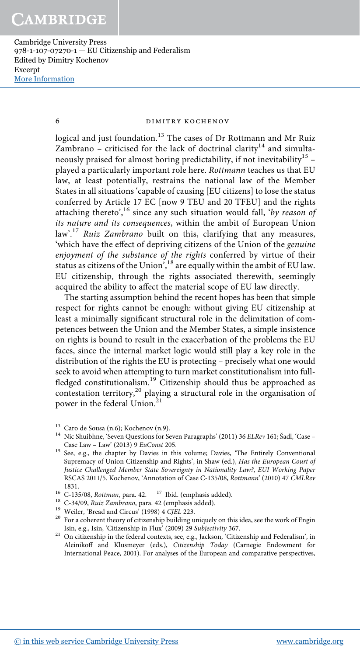#### 6 **DIMITRY KOCHENOV**

logical and just foundation.<sup>13</sup> The cases of Dr Rottmann and Mr Ruiz Zambrano – criticised for the lack of doctrinal clarity<sup>14</sup> and simultaneously praised for almost boring predictability, if not inevitability  $^{15}$  – played a particularly important role here. Rottmann teaches us that EU law, at least potentially, restrains the national law of the Member States in all situations 'capable of causing [EU citizens] to lose the status conferred by Article 17 EC [now 9 TEU and 20 TFEU] and the rights attaching thereto',<sup>16</sup> since any such situation would fall, 'by reason of its nature and its consequences, within the ambit of European Union law'.<sup>17</sup> Ruiz Zambrano built on this, clarifying that any measures, 'which have the effect of depriving citizens of the Union of the genuine enjoyment of the substance of the rights conferred by virtue of their status as citizens of the Union<sup>', 18</sup> are equally within the ambit of EU law. EU citizenship, through the rights associated therewith, seemingly acquired the ability to affect the material scope of EU law directly.

The starting assumption behind the recent hopes has been that simple respect for rights cannot be enough: without giving EU citizenship at least a minimally significant structural role in the delimitation of competences between the Union and the Member States, a simple insistence on rights is bound to result in the exacerbation of the problems the EU faces, since the internal market logic would still play a key role in the distribution of the rights the EU is protecting – precisely what one would seek to avoid when attempting to turn market constitutionalism into fullfledged constitutionalism.<sup>19</sup> Citizenship should thus be approached as contestation territory,<sup>20</sup> playing a structural role in the organisation of power in the federal Union.<sup>2</sup>

<sup>21</sup> On citizenship in the federal contexts, see, e.g., Jackson, 'Citizenship and Federalism', in Aleinikoff and Klusmeyer (eds.), Citizenship Today (Carnegie Endowment for International Peace, 2001). For analyses of the European and comparative perspectives,

<sup>13</sup> Caro de Sousa (n.6); Kochenov (n.9).

<sup>&</sup>lt;sup>14</sup> Nic Shuibhne, 'Seven Questions for Seven Paragraphs' (2011) 36 ELRev 161; Šadl, 'Case – Case Law – Law' (2013) 9 EuConst 205.

<sup>&</sup>lt;sup>15</sup> See, e.g., the chapter by Davies in this volume; Davies, 'The Entirely Conventional Supremacy of Union Citizenship and Rights', in Shaw (ed.), Has the European Court of Justice Challenged Member State Sovereignty in Nationality Law?, EUI Working Paper RSCAS 2011/5. Kochenov, 'Annotation of Case C-135/08, Rottmann' (2010) 47 CMLRev

<sup>1831.&</sup>lt;br><sup>16</sup> C-135/08, *Rottman*, para. 42. <sup>17</sup> Ibid. (emphasis added).

<sup>&</sup>lt;sup>18</sup> C-34/09, Ruiz Zambrano, para. 42 (emphasis added).

<sup>&</sup>lt;sup>19</sup> Weiler, 'Bread and Circus' (1998) 4 CJEL 223.

 $^{20}\,$  For a coherent theory of citizenship building uniquely on this idea, see the work of Engin Isin, e.g., Isin, 'Citizenship in Flux' (2009) 29 Subjectivity 367.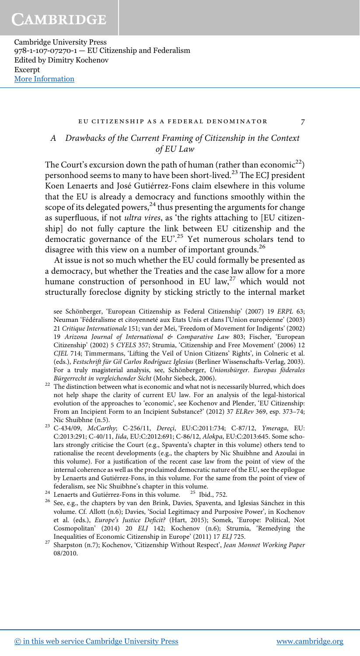### eu citizenship as a federal denominator 7

# A Drawbacks of the Current Framing of Citizenship in the Context of EU Law

The Court's excursion down the path of human (rather than economic<sup>22</sup>) personhood seems to many to have been short-lived.<sup>23</sup> The ECJ president Koen Lenaerts and José Gutiérrez-Fons claim elsewhere in this volume that the EU is already a democracy and functions smoothly within the scope of its delegated powers,  $^{24}$  thus presenting the arguments for change as superfluous, if not ultra vires, as 'the rights attaching to [EU citizenship] do not fully capture the link between EU citizenship and the democratic governance of the EU'. <sup>25</sup> Yet numerous scholars tend to disagree with this view on a number of important grounds.<sup>26</sup>

At issue is not so much whether the EU could formally be presented as a democracy, but whether the Treaties and the case law allow for a more humane construction of personhood in EU law, $27$  which would not structurally foreclose dignity by sticking strictly to the internal market

see Schönberger, 'European Citizenship as Federal Citizenship' (2007) 19 ERPL 63; Neuman 'Fédéralisme et citoyenneté aux Etats Unis et dans l'Union européenne' (2003) 21 Critique Internationale 151; van der Mei, 'Freedom of Movement for Indigents' (2002) 19 Arizona Journal of International & Comparative Law 803; Fischer, 'European Citizenship' (2002) 5 CYELS 357; Strumia, 'Citizenship and Free Movement' (2006) 12 CJEL 714; Timmermans, 'Lifting the Veil of Union Citizens' Rights', in Colneric et al. (eds.), Festschrift für Gil Carlos Rodríguez Iglesias (Berliner Wissenschafts-Verlag, 2003). For a truly magisterial analysis, see, Schönberger, Unionsbürger. Europas föderales Bürgerrecht in vergleichender Sicht (Mohr Siebeck, 2006).

- <sup>22</sup> The distinction between what is economic and what not is necessarily blurred, which does not help shape the clarity of current EU law. For an analysis of the legal-historical evolution of the approaches to 'economic', see Kochenov and Plender, 'EU Citizenship: From an Incipient Form to an Incipient Substance?' (2012) 37 ELRev 369, esp. 373–74; Nic Shuibhne (n.5).
- <sup>23</sup> C-434/09, McCarthy; C-256/11, Dereçi, EU:C:2011:734; C-87/12, Ymeraga, EU: C:2013:291; C-40/11, Iida, EU:C:2012:691; C-86/12, Alokpa, EU:C:2013:645. Some scholars strongly criticise the Court (e.g., Spaventa's chapter in this volume) others tend to rationalise the recent developments (e.g., the chapters by Nic Shuibhne and Azoulai in this volume). For a justification of the recent case law from the point of view of the internal coherence as well as the proclaimed democratic nature of the EU, see the epilogue by Lenaerts and Gutiérrez-Fons, in this volume. For the same from the point of view of
- federalism, see Nic Shuibhne's chapter in this volume.<br>Lenaerts and Gutiérrez-Fons in this volume.<br><sup>25</sup> Ibid., 752. <sup>24</sup> Lenaerts and Gutiérrez-Fons in this volume.
- <sup>26</sup> See, e.g., the chapters by van den Brink, Davies, Spaventa, and Iglesias Sánchez in this volume. Cf. Allott (n.6); Davies, 'Social Legitimacy and Purposive Power', in Kochenov et al. (eds.), Europe's Justice Deficit? (Hart, 2015); Somek, 'Europe: Political, Not Cosmopolitan' (2014) 20 ELJ 142; Kochenov (n.6); Strumia, 'Remedying the Inequalities of Economic Citizenship in Europe' (2011) 17 ELJ 725.
- <sup>27</sup> Sharpston (n.7); Kochenov, 'Citizenship Without Respect', Jean Monnet Working Paper 08/2010.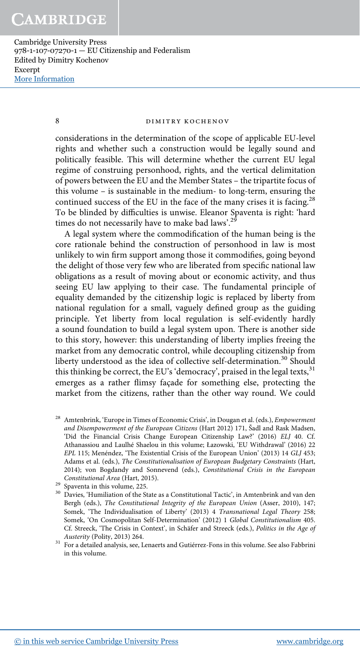## 8 **DIMITRY KOCHENOV**

considerations in the determination of the scope of applicable EU-level rights and whether such a construction would be legally sound and politically feasible. This will determine whether the current EU legal regime of construing personhood, rights, and the vertical delimitation of powers between the EU and the Member States – the tripartite focus of this volume – is sustainable in the medium- to long-term, ensuring the continued success of the EU in the face of the many crises it is facing.<sup>28</sup> To be blinded by difficulties is unwise. Eleanor Spaventa is right: 'hard times do not necessarily have to make bad laws'.<sup>29</sup>

A legal system where the commodification of the human being is the core rationale behind the construction of personhood in law is most unlikely to win firm support among those it commodifies, going beyond the delight of those very few who are liberated from specific national law obligations as a result of moving about or economic activity, and thus seeing EU law applying to their case. The fundamental principle of equality demanded by the citizenship logic is replaced by liberty from national regulation for a small, vaguely defined group as the guiding principle. Yet liberty from local regulation is self-evidently hardly a sound foundation to build a legal system upon. There is another side to this story, however: this understanding of liberty implies freeing the market from any democratic control, while decoupling citizenship from liberty understood as the idea of collective self-determination.<sup>30</sup> Should this thinking be correct, the EU's 'democracy', praised in the legal texts,<sup>31</sup> emerges as a rather flimsy façade for something else, protecting the market from the citizens, rather than the other way round. We could

 $^\mathrm{28}$  Amtenbrink, 'Europe in Times of Economic Crisis', in Dougan et al. (eds.), Empowerment and Disempowerment of the European Citizens (Hart 2012) 171, Šadl and Rask Madsen, 'Did the Financial Crisis Change European Citizenship Law?' (2016) ELJ 40. Cf. Athanassiou and Laulhé Shaelou in this volume; Łazowski, 'EU Withdrawal' (2016) 22 EPL 115; Menéndez, 'The Existential Crisis of the European Union' (2013) 14 GLJ 453; Adams et al. (eds.), The Constitutionalisation of European Budgetary Constraints (Hart, 2014); von Bogdandy and Sonnevend (eds.), Constitutional Crisis in the European Constitutional Area (Hart, 2015).

 $29 \text{ Spaventa in this volume, } 225.$ 

<sup>&</sup>lt;sup>30</sup> Davies, 'Humiliation of the State as a Constitutional Tactic', in Amtenbrink and van den Bergh (eds.), *The Constitutional Integrity of the European Union* (Asser, 2010), 147;<br>Somek, 'The Individualisation of Liberty' (2013) 4 *Transnational Legal Theory* 258; Somek, 'On Cosmopolitan Self-Determination' (2012) 1 Global Constitutionalism 405. Cf. Streeck, 'The Crisis in Context', in Schäfer and Streeck (eds.), Politics in the Age of Austerity (Polity, 2013) 264.

<sup>&</sup>lt;sup>31</sup> For a detailed analysis, see, Lenaerts and Gutiérrez-Fons in this volume. See also Fabbrini in this volume.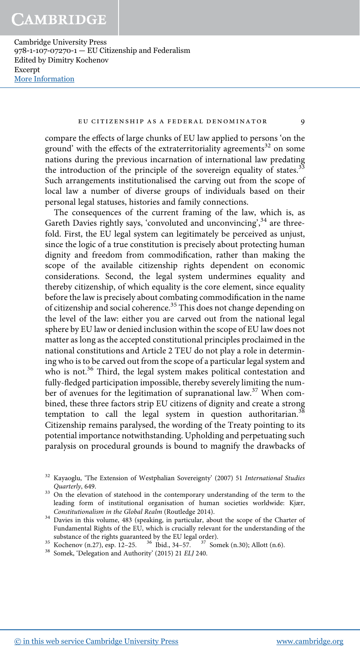### eu citizenship as a federal denominator 9

compare the effects of large chunks of EU law applied to persons 'on the ground' with the effects of the extraterritoriality agreements<sup>32</sup> on some nations during the previous incarnation of international law predating the introduction of the principle of the sovereign equality of states.<sup>33</sup> Such arrangements institutionalised the carving out from the scope of local law a number of diverse groups of individuals based on their personal legal statuses, histories and family connections.

The consequences of the current framing of the law, which is, as Gareth Davies rightly says, 'convoluted and unconvincing', 34 are threefold. First, the EU legal system can legitimately be perceived as unjust, since the logic of a true constitution is precisely about protecting human dignity and freedom from commodification, rather than making the scope of the available citizenship rights dependent on economic considerations. Second, the legal system undermines equality and thereby citizenship, of which equality is the core element, since equality before the law is precisely about combating commodification in the name of citizenship and social coherence.<sup>35</sup> This does not change depending on the level of the law: either you are carved out from the national legal sphere by EU law or denied inclusion within the scope of EU law does not matter as long as the accepted constitutional principles proclaimed in the national constitutions and Article 2 TEU do not play a role in determining who is to be carved out from the scope of a particular legal system and who is not.<sup>36</sup> Third, the legal system makes political contestation and fully-fledged participation impossible, thereby severely limiting the number of avenues for the legitimation of supranational law.<sup>37</sup> When combined, these three factors strip EU citizens of dignity and create a strong temptation to call the legal system in question authoritarian.<sup>38</sup> Citizenship remains paralysed, the wording of the Treaty pointing to its potential importance notwithstanding. Upholding and perpetuating such paralysis on procedural grounds is bound to magnify the drawbacks of

<sup>32</sup> Kayaoglu, 'The Extension of Westphalian Sovereignty' (2007) 51 International Studies Quarterly, 649.

<sup>&</sup>lt;sup>33</sup> On the elevation of statehood in the contemporary understanding of the term to the leading form of institutional organisation of human societies worldwide: Kjær, Constitutionalism in the Global Realm (Routledge 2014).

<sup>&</sup>lt;sup>34</sup> Davies in this volume, 483 (speaking, in particular, about the scope of the Charter of Fundamental Rights of the EU, which is crucially relevant for the understanding of the

substance of the rights guaranteed by the EU legal order).<br><sup>35</sup> Kochenov (n.27), esp. 12–25. <sup>36</sup> Ibid., 34–57. <sup>37</sup> Somek (n.30); Allott (n.6).

<sup>38</sup> Somek, 'Delegation and Authority' (2015) 21 ELJ 240.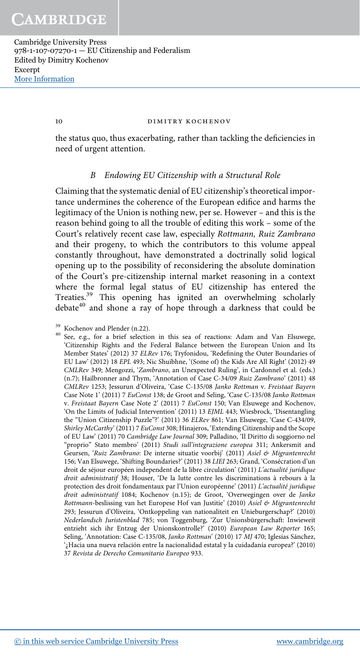10 **DIMITRY KOCHENOV** 

the status quo, thus exacerbating, rather than tackling the deficiencies in need of urgent attention.

## B Endowing EU Citizenship with a Structural Role

Claiming that the systematic denial of EU citizenship's theoretical importance undermines the coherence of the European edifice and harms the legitimacy of the Union is nothing new, per se. However – and this is the reason behind going to all the trouble of editing this work – some of the Court's relatively recent case law, especially Rottmann, Ruiz Zambrano and their progeny, to which the contributors to this volume appeal constantly throughout, have demonstrated a doctrinally solid logical opening up to the possibility of reconsidering the absolute domination of the Court's pre-citizenship internal market reasoning in a context where the formal legal status of EU citizenship has entered the Treaties.<sup>39</sup> This opening has ignited an overwhelming scholarly debate<sup>40</sup> and shone a ray of hope through a darkness that could be

<sup>40</sup> See, e.g., for a brief selection in this sea of reactions: Adam and Van Elsuwege, 'Citizenship Rights and the Federal Balance between the European Union and Its Member States' (2012) 37 ELRev 176; Tryfonidou, 'Redefining the Outer Boundaries of EU Law' (2012) 18 EPL 493; Nic Shuibhne, '(Some of) the Kids Are All Right' (2012) 49 CMLRev 349; Mengozzi, 'Zambrano, an Unexpected Ruling', in Cardonnel et al. (eds.) (n.7); Hailbronner and Thym, 'Annotation of Case C-34/09 Ruiz Zambrano' (2011) 48 CMLRev 1253; Jessurun d'Oliveira, 'Case C-135/08 Janko Rottman v. Freistaat Bayern Case Note 1' (2011) 7 EuConst 138; de Groot and Seling, 'Case C-135/08 Janko Rottman v. Freistaat Bayern Case Note 2' (2011) 7 EuConst 150; Van Elsuwege and Kochenov, 'On the Limits of Judicial Intervention' (2011) 13 EJML 443; Wiesbrock, 'Disentangling the "Union Citizenship Puzzle"?' (2011) 36 ELRev 861; Van Elsuwege, 'Case C-434/09, Shirley McCarthy' (2011) 7 EuConst 308; Hinajeros, 'Extending Citizenship and the Scope of EU Law' (2011) 70 Cambridge Law Journal 309; Palladino, 'Il Diritto di soggiorno nel "proprio" Stato membro' (2011) Studi sull'integrazione europea 311; Ankersmit and Geursen, 'Ruiz Zambrano: De interne situatie voorbij' (2011) Asiel & Migrantenrecht 156; Van Elsuwege, 'Shifting Boundaries?' (2011) 38 LIEI 263; Grand, 'Consécration d'un droit de séjour européen independent de la libre circulation' (2011) L'actualité juridique droit administratif 38; Houser, 'De la lutte contre les discriminations à rebours à la protection des droit fondamentaux par l'Union européenne' (2011) L'actualité juridique droit administratif 1084; Kochenov (n.15); de Groot, 'Overwegingen over de Janko Rottmann-beslissing van het Europese Hof van Justitie' (2010) Asiel & Migrantenrecht 293; Jessurun d'Oliveira, 'Ontkoppeling van nationaliteit en Unieburgerschap?' (2010) Nederlandsch Juristenblad 785; von Toggenburg, 'Zur Unionsbürgerschaft: Inwieweit entzieht sich ihr Entzug der Unionskontrolle?' (2010) European Law Reporter 165; Seling, 'Annotation: Case C-135/08, Janko Rottman' (2010) 17 MJ 470; Iglesias Sánchez, '¿Hacia una nueva relación entre la nacionalidad estatal y la cuidadanía europea?' (2010) 37 Revista de Derecho Comunitario Europeo 933.

<sup>39</sup> Kochenov and Plender (n.22).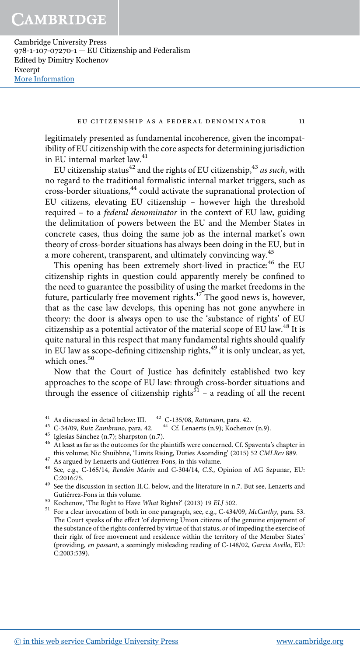#### EU CITIZENSHIP AS A FEDERAL DENOMINATOR 11

legitimately presented as fundamental incoherence, given the incompatibility of EU citizenship with the core aspects for determining jurisdiction in EU internal market law.<sup>41</sup>

EU citizenship status<sup>42</sup> and the rights of EU citizenship,  $43$  as such, with no regard to the traditional formalistic internal market triggers, such as cross-border situations,<sup>44</sup> could activate the supranational protection of EU citizens, elevating EU citizenship – however high the threshold required – to a federal denominator in the context of EU law, guiding the delimitation of powers between the EU and the Member States in concrete cases, thus doing the same job as the internal market's own theory of cross-border situations has always been doing in the EU, but in a more coherent, transparent, and ultimately convincing way.<sup>45</sup>

This opening has been extremely short-lived in practice:<sup>46</sup> the EU citizenship rights in question could apparently merely be confined to the need to guarantee the possibility of using the market freedoms in the future, particularly free movement rights.<sup>47</sup> The good news is, however, that as the case law develops, this opening has not gone anywhere in theory: the door is always open to use the 'substance of rights' of EU citizenship as a potential activator of the material scope of EU law.<sup>48</sup> It is quite natural in this respect that many fundamental rights should qualify in EU law as scope-defining citizenship rights,<sup>49</sup> it is only unclear, as yet, which ones.<sup>50</sup>

Now that the Court of Justice has definitely established two key approaches to the scope of EU law: through cross-border situations and through the essence of citizenship rights<sup>51</sup> – a reading of all the recent

- <sup>41</sup> As discussed in detail below: III.  $42$  C-135/08, Rottmann, para. 42.<br><sup>43</sup> C-34/09, Ruiz Zambrano, para. 42.  $44$  Cf. Lenaerts (n.9); Kochenov
- $44$  Cf. Lenaerts (n.9); Kochenov (n.9).
- <sup>45</sup> Iglesias Sánchez (n.7); Sharpston (n.7).
- $^{46}\,$  At least as far as the outcomes for the plaintiffs were concerned. Cf. Spaventa's chapter in this volume; Nic Shuibhne, 'Limits Rising, Duties Ascending' (2015) 52 CMLRev 889.
- <sup>47</sup> As argued by Lenaerts and Gutiérrez-Fons, in this volume.
- <sup>48</sup> See, e.g., C-165/14, Rendón Marín and C-304/14, C.S., Opinion of AG Szpunar, EU: C:2016:75.
- $49$  See the discussion in section II.C. below, and the literature in n.7. But see, Lenaerts and Gutiérrez-Fons in this volume.
- 50 Kochenov, 'The Right to Have *What* Rights?' (2013) 19 *ELJ* 502.
- <sup>51</sup> For a clear invocation of both in one paragraph, see, e.g., C-434/09, McCarthy, para. 53. The Court speaks of the effect 'of depriving Union citizens of the genuine enjoyment of the substance of the rights conferred by virtue of that status, or of impeding the exercise of their right of free movement and residence within the territory of the Member States' (providing, en passant, a seemingly misleading reading of C-148/02, Garcia Avello, EU: C:2003:539).